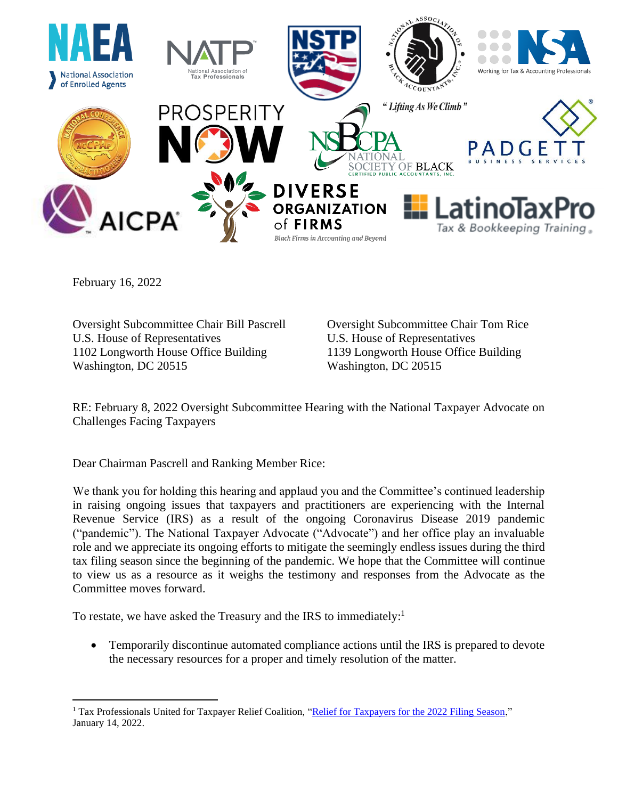

February 16, 2022

Oversight Subcommittee Chair Bill Pascrell Oversight Subcommittee Chair Tom Rice U.S. House of Representatives U.S. House of Representatives 1102 Longworth House Office Building 1139 Longworth House Office Building Washington, DC 20515 Washington, DC 20515

RE: February 8, 2022 Oversight Subcommittee Hearing with the National Taxpayer Advocate on Challenges Facing Taxpayers

Dear Chairman Pascrell and Ranking Member Rice:

We thank you for holding this hearing and applaud you and the Committee's continued leadership in raising ongoing issues that taxpayers and practitioners are experiencing with the Internal Revenue Service (IRS) as a result of the ongoing Coronavirus Disease 2019 pandemic ("pandemic"). The National Taxpayer Advocate ("Advocate") and her office play an invaluable role and we appreciate its ongoing efforts to mitigate the seemingly endless issues during the third tax filing season since the beginning of the pandemic. We hope that the Committee will continue to view us as a resource as it weighs the testimony and responses from the Advocate as the Committee moves forward.

To restate, we have asked the Treasury and the IRS to immediately:<sup>1</sup>

• Temporarily discontinue automated compliance actions until the IRS is prepared to devote the necessary resources for a proper and timely resolution of the matter.

<sup>&</sup>lt;sup>1</sup> Tax Professionals United for Taxpayer Relief Coalition, ["Relief for Taxpayers for the 2022 Filing Season,](https://us.aicpa.org/content/dam/aicpa/advocacy/tax/downloadabledocuments/56175896-taxpayer-relief-for-2022-filing-season-coalition-letter-final.pdf)" January 14, 2022.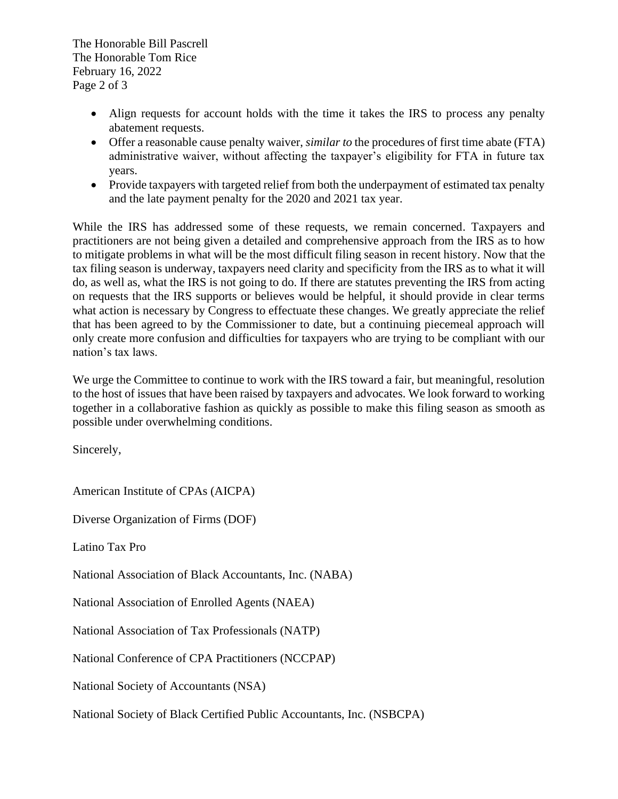The Honorable Bill Pascrell The Honorable Tom Rice February 16, 2022 Page 2 of 3

- Align requests for account holds with the time it takes the IRS to process any penalty abatement requests.
- Offer a reasonable cause penalty waiver, *similar to* the procedures of first time abate (FTA) administrative waiver, without affecting the taxpayer's eligibility for FTA in future tax years.
- Provide taxpayers with targeted relief from both the underpayment of estimated tax penalty and the late payment penalty for the 2020 and 2021 tax year.

While the IRS has addressed some of these requests, we remain concerned. Taxpayers and practitioners are not being given a detailed and comprehensive approach from the IRS as to how to mitigate problems in what will be the most difficult filing season in recent history. Now that the tax filing season is underway, taxpayers need clarity and specificity from the IRS as to what it will do, as well as, what the IRS is not going to do. If there are statutes preventing the IRS from acting on requests that the IRS supports or believes would be helpful, it should provide in clear terms what action is necessary by Congress to effectuate these changes. We greatly appreciate the relief that has been agreed to by the Commissioner to date, but a continuing piecemeal approach will only create more confusion and difficulties for taxpayers who are trying to be compliant with our nation's tax laws.

We urge the Committee to continue to work with the IRS toward a fair, but meaningful, resolution to the host of issues that have been raised by taxpayers and advocates. We look forward to working together in a collaborative fashion as quickly as possible to make this filing season as smooth as possible under overwhelming conditions.

Sincerely,

American Institute of CPAs (AICPA)

Diverse Organization of Firms (DOF)

Latino Tax Pro

National Association of Black Accountants, Inc. (NABA)

National Association of Enrolled Agents (NAEA)

National Association of Tax Professionals (NATP)

National Conference of CPA Practitioners (NCCPAP)

National Society of Accountants (NSA)

National Society of Black Certified Public Accountants, Inc. (NSBCPA)